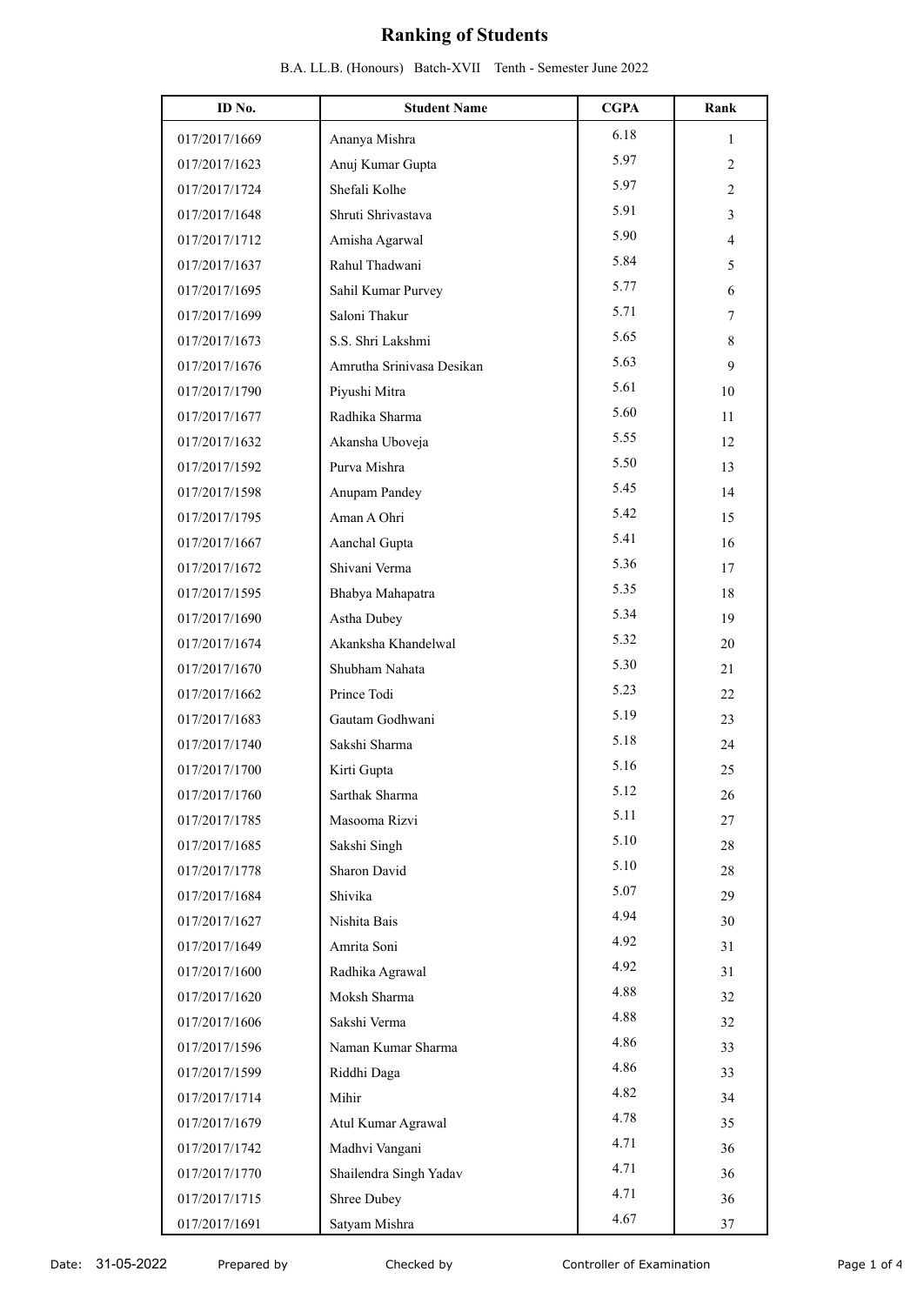| ID No.        | <b>Student Name</b>       | <b>CGPA</b> | Rank           |
|---------------|---------------------------|-------------|----------------|
|               |                           | 6.18        |                |
| 017/2017/1669 | Ananya Mishra             | 5.97        | 1              |
| 017/2017/1623 | Anuj Kumar Gupta          |             | $\overline{2}$ |
| 017/2017/1724 | Shefali Kolhe             | 5.97        | $\overline{2}$ |
| 017/2017/1648 | Shruti Shrivastava        | 5.91        | 3              |
| 017/2017/1712 | Amisha Agarwal            | 5.90        | 4              |
| 017/2017/1637 | Rahul Thadwani            | 5.84        | 5              |
| 017/2017/1695 | Sahil Kumar Purvey        | 5.77        | 6              |
| 017/2017/1699 | Saloni Thakur             | 5.71        | 7              |
| 017/2017/1673 | S.S. Shri Lakshmi         | 5.65        | 8              |
| 017/2017/1676 | Amrutha Srinivasa Desikan | 5.63        | 9              |
| 017/2017/1790 | Piyushi Mitra             | 5.61        | 10             |
| 017/2017/1677 | Radhika Sharma            | 5.60        | 11             |
| 017/2017/1632 | Akansha Uboveja           | 5.55        | 12             |
| 017/2017/1592 | Purva Mishra              | 5.50        | 13             |
| 017/2017/1598 | Anupam Pandey             | 5.45        | 14             |
| 017/2017/1795 | Aman A Ohri               | 5.42        | 15             |
| 017/2017/1667 | Aanchal Gupta             | 5.41        | 16             |
| 017/2017/1672 | Shivani Verma             | 5.36        | 17             |
| 017/2017/1595 | Bhabya Mahapatra          | 5.35        | 18             |
| 017/2017/1690 | Astha Dubey               | 5.34        | 19             |
| 017/2017/1674 | Akanksha Khandelwal       | 5.32        | 20             |
| 017/2017/1670 | Shubham Nahata            | 5.30        | 21             |
| 017/2017/1662 | Prince Todi               | 5.23        | 22             |
| 017/2017/1683 | Gautam Godhwani           | 5.19        | 23             |
| 017/2017/1740 | Sakshi Sharma             | 5.18        | 24             |
| 017/2017/1700 | Kirti Gupta               | 5.16        | 25             |
| 017/2017/1760 | Sarthak Sharma            | 5.12        | 26             |
| 017/2017/1785 | Masooma Rizvi             | 5.11        | 27             |
| 017/2017/1685 | Sakshi Singh              | 5.10        | $28\,$         |
| 017/2017/1778 | Sharon David              | 5.10        | $28\,$         |
| 017/2017/1684 | Shivika                   | 5.07        | 29             |
| 017/2017/1627 | Nishita Bais              | 4.94        | 30             |
| 017/2017/1649 | Amrita Soni               | 4.92        | 31             |
| 017/2017/1600 | Radhika Agrawal           | 4.92        | 31             |
| 017/2017/1620 | Moksh Sharma              | 4.88        | 32             |
| 017/2017/1606 | Sakshi Verma              | 4.88        | 32             |
| 017/2017/1596 | Naman Kumar Sharma        | 4.86        | 33             |
| 017/2017/1599 | Riddhi Daga               | 4.86        | 33             |
| 017/2017/1714 | Mihir                     | 4.82        | 34             |
| 017/2017/1679 | Atul Kumar Agrawal        | 4.78        | 35             |
| 017/2017/1742 | Madhvi Vangani            | 4.71        | 36             |
| 017/2017/1770 | Shailendra Singh Yadav    | 4.71        | 36             |
| 017/2017/1715 | Shree Dubey               | 4.71        | 36             |
| 017/2017/1691 | Satyam Mishra             | 4.67        | 37             |
|               |                           |             |                |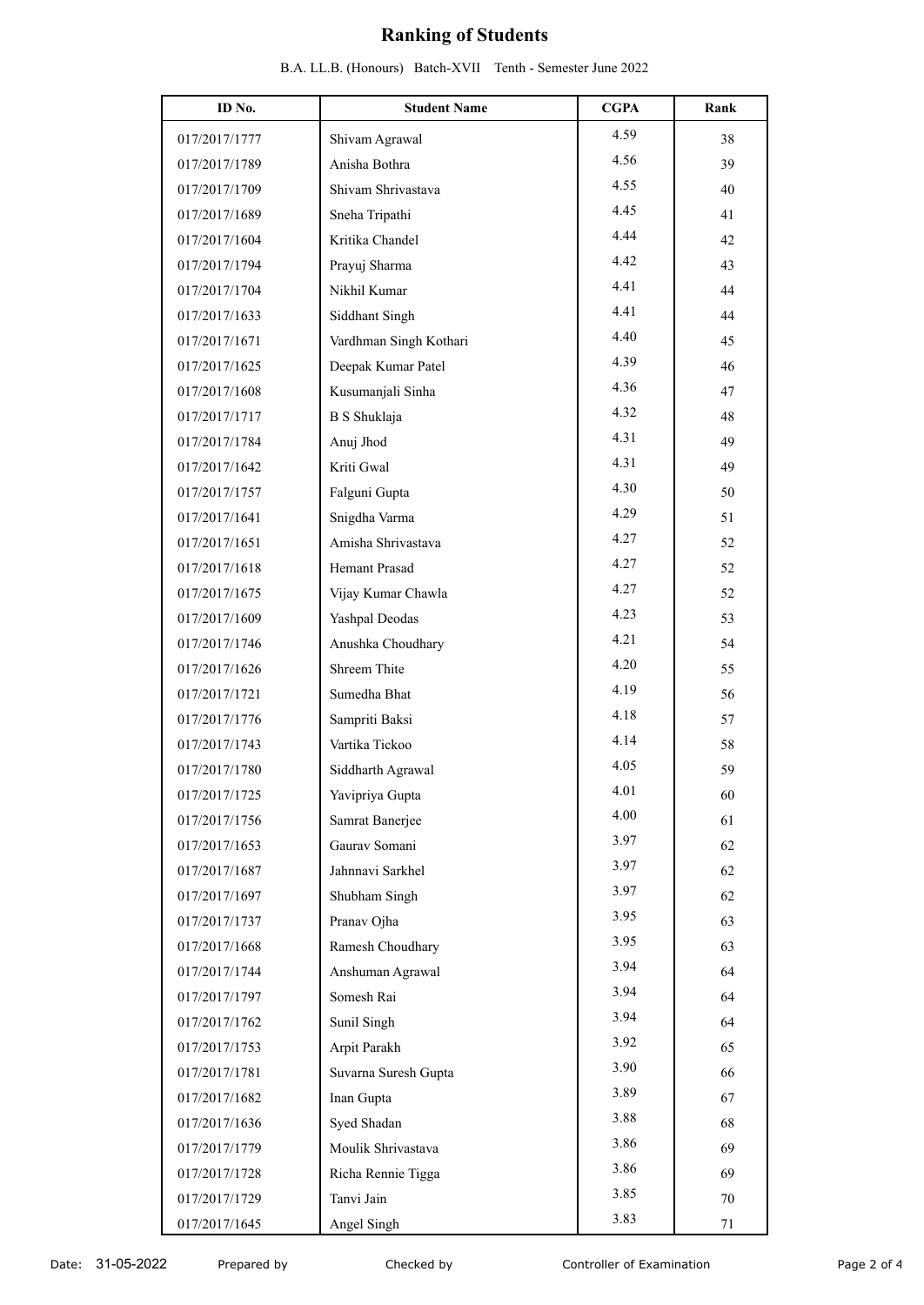| ID No.        | <b>Student Name</b>    | <b>CGPA</b> | Rank |
|---------------|------------------------|-------------|------|
| 017/2017/1777 | Shivam Agrawal         | 4.59        | 38   |
| 017/2017/1789 | Anisha Bothra          | 4.56        | 39   |
| 017/2017/1709 | Shivam Shrivastava     | 4.55        | 40   |
| 017/2017/1689 | Sneha Tripathi         | 4.45        | 41   |
| 017/2017/1604 | Kritika Chandel        | 4.44        | 42   |
| 017/2017/1794 | Prayuj Sharma          | 4.42        | 43   |
| 017/2017/1704 | Nikhil Kumar           | 4.41        | 44   |
| 017/2017/1633 | Siddhant Singh         | 4.41        | 44   |
| 017/2017/1671 | Vardhman Singh Kothari | 4.40        | 45   |
| 017/2017/1625 | Deepak Kumar Patel     | 4.39        | 46   |
| 017/2017/1608 | Kusumanjali Sinha      | 4.36        | 47   |
| 017/2017/1717 | <b>B</b> S Shuklaja    | 4.32        | 48   |
| 017/2017/1784 | Anuj Jhod              | 4.31        | 49   |
| 017/2017/1642 | Kriti Gwal             | 4.31        | 49   |
| 017/2017/1757 | Falguni Gupta          | 4.30        | 50   |
| 017/2017/1641 | Snigdha Varma          | 4.29        | 51   |
| 017/2017/1651 | Amisha Shrivastava     | 4.27        | 52   |
| 017/2017/1618 | Hemant Prasad          | 4.27        | 52   |
| 017/2017/1675 | Vijay Kumar Chawla     | 4.27        | 52   |
| 017/2017/1609 | Yashpal Deodas         | 4.23        | 53   |
| 017/2017/1746 | Anushka Choudhary      | 4.21        | 54   |
| 017/2017/1626 | Shreem Thite           | 4.20        | 55   |
| 017/2017/1721 | Sumedha Bhat           | 4.19        | 56   |
| 017/2017/1776 | Sampriti Baksi         | 4.18        | 57   |
| 017/2017/1743 | Vartika Tickoo         | 4.14        | 58   |
| 017/2017/1780 | Siddharth Agrawal      | 4.05        | 59   |
| 017/2017/1725 | Yavipriya Gupta        | 4.01        | 60   |
| 017/2017/1756 | Samrat Banerjee        | 4.00        | 61   |
| 017/2017/1653 | Gaurav Somani          | 3.97        | 62   |
| 017/2017/1687 | Jahnnavi Sarkhel       | 3.97        | 62   |
| 017/2017/1697 | Shubham Singh          | 3.97        | 62   |
| 017/2017/1737 | Pranav Ojha            | 3.95        | 63   |
| 017/2017/1668 | Ramesh Choudhary       | 3.95        | 63   |
| 017/2017/1744 | Anshuman Agrawal       | 3.94        | 64   |
| 017/2017/1797 | Somesh Rai             | 3.94        | 64   |
| 017/2017/1762 | Sunil Singh            | 3.94        | 64   |
| 017/2017/1753 | Arpit Parakh           | 3.92        | 65   |
| 017/2017/1781 | Suvarna Suresh Gupta   | 3.90        | 66   |
| 017/2017/1682 | Inan Gupta             | 3.89        | 67   |
| 017/2017/1636 | Syed Shadan            | 3.88        | 68   |
| 017/2017/1779 | Moulik Shrivastava     | 3.86        | 69   |
| 017/2017/1728 | Richa Rennie Tigga     | 3.86        | 69   |
| 017/2017/1729 | Tanvi Jain             | 3.85        | 70   |
| 017/2017/1645 | Angel Singh            | 3.83        | 71   |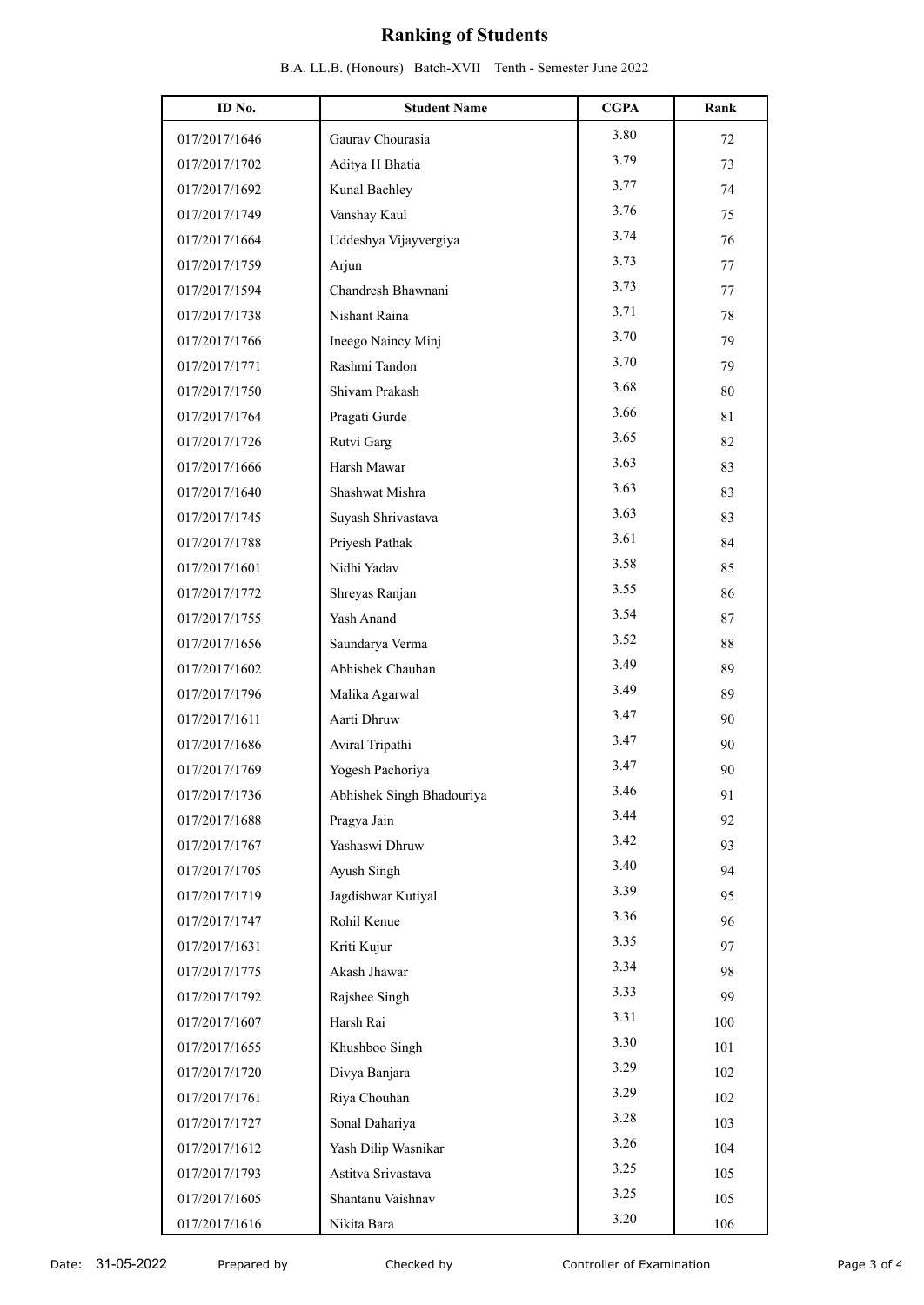| ID No.        | <b>Student Name</b>       | <b>CGPA</b> | Rank |
|---------------|---------------------------|-------------|------|
| 017/2017/1646 | Gaurav Chourasia          | 3.80        | 72   |
| 017/2017/1702 | Aditya H Bhatia           | 3.79        | 73   |
| 017/2017/1692 | Kunal Bachley             | 3.77        | 74   |
| 017/2017/1749 | Vanshay Kaul              | 3.76        | 75   |
| 017/2017/1664 | Uddeshya Vijayvergiya     | 3.74        | 76   |
| 017/2017/1759 | Arjun                     | 3.73        | 77   |
| 017/2017/1594 | Chandresh Bhawnani        | 3.73        | 77   |
| 017/2017/1738 | Nishant Raina             | 3.71        | 78   |
| 017/2017/1766 | Ineego Naincy Minj        | 3.70        | 79   |
| 017/2017/1771 | Rashmi Tandon             | 3.70        | 79   |
| 017/2017/1750 | Shivam Prakash            | 3.68        | 80   |
| 017/2017/1764 | Pragati Gurde             | 3.66        | 81   |
| 017/2017/1726 | Rutvi Garg                | 3.65        | 82   |
| 017/2017/1666 | Harsh Mawar               | 3.63        | 83   |
| 017/2017/1640 | Shashwat Mishra           | 3.63        | 83   |
| 017/2017/1745 | Suyash Shrivastava        | 3.63        | 83   |
| 017/2017/1788 | Priyesh Pathak            | 3.61        | 84   |
| 017/2017/1601 | Nidhi Yadav               | 3.58        | 85   |
| 017/2017/1772 | Shreyas Ranjan            | 3.55        | 86   |
| 017/2017/1755 | Yash Anand                | 3.54        | 87   |
| 017/2017/1656 | Saundarya Verma           | 3.52        | 88   |
| 017/2017/1602 | Abhishek Chauhan          | 3.49        | 89   |
| 017/2017/1796 | Malika Agarwal            | 3.49        | 89   |
| 017/2017/1611 | Aarti Dhruw               | 3.47        | 90   |
| 017/2017/1686 | Aviral Tripathi           | 3.47        | 90   |
| 017/2017/1769 | Yogesh Pachoriya          | 3.47        | 90   |
| 017/2017/1736 | Abhishek Singh Bhadouriya | 3.46        | 91   |
| 017/2017/1688 | Pragya Jain               | 3.44        | 92   |
| 017/2017/1767 | Yashaswi Dhruw            | 3.42        | 93   |
| 017/2017/1705 | Ayush Singh               | 3.40        | 94   |
| 017/2017/1719 | Jagdishwar Kutiyal        | 3.39        | 95   |
| 017/2017/1747 | Rohil Kenue               | 3.36        | 96   |
| 017/2017/1631 | Kriti Kujur               | 3.35        | 97   |
| 017/2017/1775 | Akash Jhawar              | 3.34        | 98   |
| 017/2017/1792 | Rajshee Singh             | 3.33        | 99   |
| 017/2017/1607 | Harsh Rai                 | 3.31        | 100  |
| 017/2017/1655 | Khushboo Singh            | 3.30        | 101  |
| 017/2017/1720 | Divya Banjara             | 3.29        | 102  |
| 017/2017/1761 | Riya Chouhan              | 3.29        | 102  |
| 017/2017/1727 | Sonal Dahariya            | 3.28        | 103  |
| 017/2017/1612 | Yash Dilip Wasnikar       | 3.26        | 104  |
| 017/2017/1793 | Astitva Srivastava        | 3.25        | 105  |
| 017/2017/1605 | Shantanu Vaishnav         | 3.25        | 105  |
| 017/2017/1616 | Nikita Bara               | 3.20        | 106  |